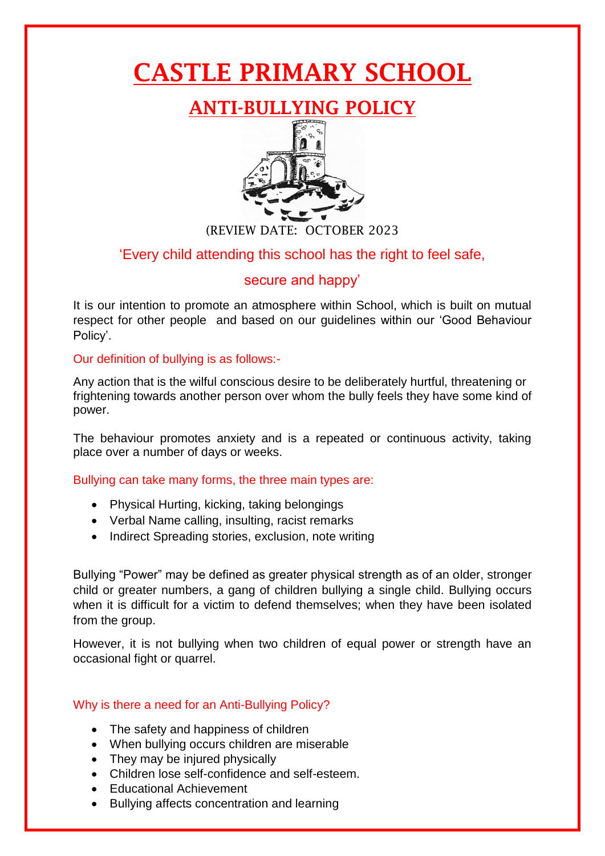# CASTLE PRIMARY SCHOOL

# ANTI-BULLYING POLICY



(REVIEW DATE: OCTOBER 2023

## 'Every child attending this school has the right to feel safe,

### secure and happy'

It is our intention to promote an atmosphere within School, which is built on mutual respect for other people and based on our guidelines within our 'Good Behaviour Policy'.

Our definition of bullying is as follows:-

Any action that is the wilful conscious desire to be deliberately hurtful, threatening or frightening towards another person over whom the bully feels they have some kind of power.

The behaviour promotes anxiety and is a repeated or continuous activity, taking place over a number of days or weeks.

Bullying can take many forms, the three main types are:

- Physical Hurting, kicking, taking belongings
- Verbal Name calling, insulting, racist remarks
- Indirect Spreading stories, exclusion, note writing

Bullying "Power" may be defined as greater physical strength as of an older, stronger child or greater numbers, a gang of children bullying a single child. Bullying occurs when it is difficult for a victim to defend themselves; when they have been isolated from the group.

However, it is not bullying when two children of equal power or strength have an occasional fight or quarrel.

#### Why is there a need for an Anti-Bullying Policy?

- The safety and happiness of children
- When bullying occurs children are miserable
- They may be injured physically
- Children lose self-confidence and self-esteem.
- Educational Achievement
- Bullying affects concentration and learning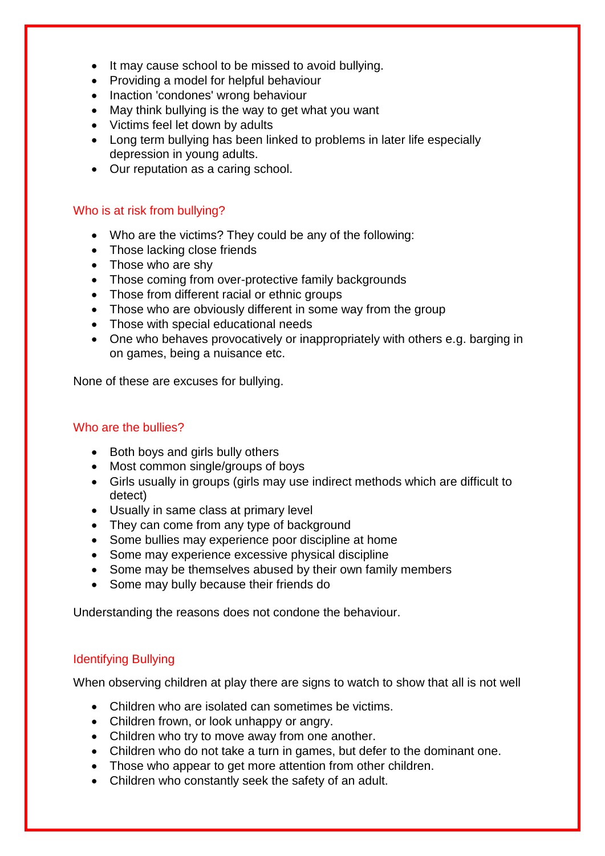- It may cause school to be missed to avoid bullying.
- Providing a model for helpful behaviour
- Inaction 'condones' wrong behaviour
- May think bullying is the way to get what you want
- Victims feel let down by adults
- Long term bullying has been linked to problems in later life especially depression in young adults.
- Our reputation as a caring school.

#### Who is at risk from bullying?

- Who are the victims? They could be any of the following:
- Those lacking close friends
- Those who are shy
- Those coming from over-protective family backgrounds
- Those from different racial or ethnic groups
- Those who are obviously different in some way from the group
- Those with special educational needs
- One who behaves provocatively or inappropriately with others e.g. barging in on games, being a nuisance etc.

None of these are excuses for bullying.

#### Who are the bullies?

- Both boys and girls bully others
- Most common single/groups of boys
- Girls usually in groups (girls may use indirect methods which are difficult to detect)
- Usually in same class at primary level
- They can come from any type of background
- Some bullies may experience poor discipline at home
- Some may experience excessive physical discipline
- Some may be themselves abused by their own family members
- Some may bully because their friends do

Understanding the reasons does not condone the behaviour.

#### Identifying Bullying

When observing children at play there are signs to watch to show that all is not well

- Children who are isolated can sometimes be victims.
- Children frown, or look unhappy or angry.
- Children who try to move away from one another.
- Children who do not take a turn in games, but defer to the dominant one.
- Those who appear to get more attention from other children.
- Children who constantly seek the safety of an adult.